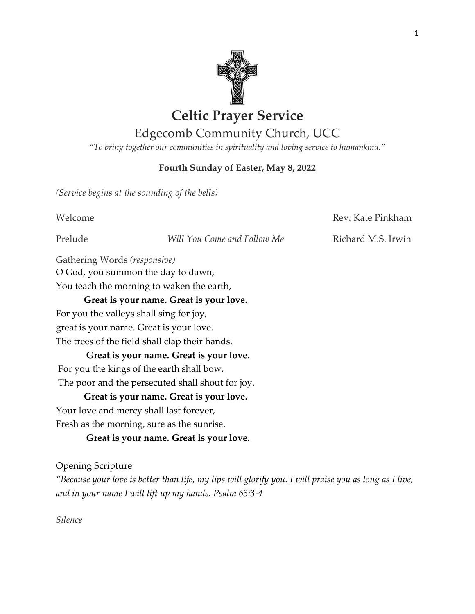

# **Celtic Prayer Service**

# Edgecomb Community Church, UCC

*"To bring together our communities in spirituality and loving service to humankind."*

## **Fourth Sunday of Easter, May 8, 2022**

*(Service begins at the sounding of the bells)*

Welcome **Rev. Kate Pinkham** 

Prelude *Will You Come and Follow Me* Richard M.S. Irwin

Gathering Words *(responsive)*

O God, you summon the day to dawn, You teach the morning to waken the earth,

# **Great is your name. Great is your love.**

For you the valleys shall sing for joy,

great is your name. Great is your love.

The trees of the field shall clap their hands.

**Great is your name. Great is your love.**

For you the kings of the earth shall bow,

The poor and the persecuted shall shout for joy.

**Great is your name. Great is your love.** 

Your love and mercy shall last forever,

Fresh as the morning, sure as the sunrise.

**Great is your name. Great is your love.**

# Opening Scripture

*"Because your love is better than life, my lips will glorify you. I will praise you as long as I live, and in your name I will lift up my hands. Psalm 63:3-4*

*Silence*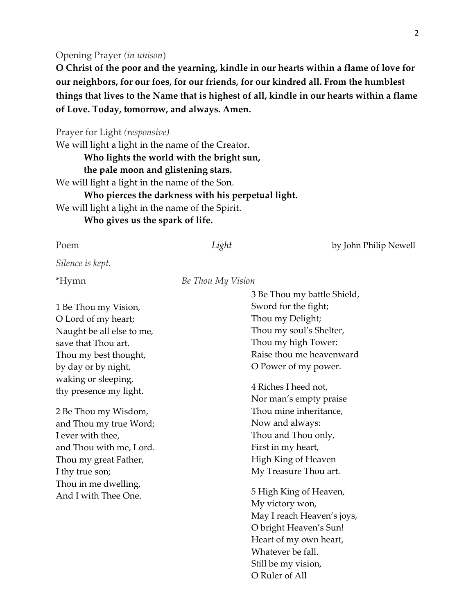#### Opening Prayer *(in unison*)

**O Christ of the poor and the yearning, kindle in our hearts within a flame of love for our neighbors, for our foes, for our friends, for our kindred all. From the humblest things that lives to the Name that is highest of all, kindle in our hearts within a flame of Love. Today, tomorrow, and always. Amen.** 

Prayer for Light *(responsive)*

We will light a light in the name of the Creator.

**Who lights the world with the bright sun,** 

#### **the pale moon and glistening stars.**

We will light a light in the name of the Son.

**Who pierces the darkness with his perpetual light.** 

We will light a light in the name of the Spirit.

**Who gives us the spark of life.**

| Poem                      | Light             | by John Philip Newell       |
|---------------------------|-------------------|-----------------------------|
| Silence is kept.          |                   |                             |
| *Hymn                     | Be Thou My Vision |                             |
|                           |                   | 3 Be Thou my battle Shield, |
| 1 Be Thou my Vision,      |                   | Sword for the fight;        |
| O Lord of my heart;       |                   | Thou my Delight;            |
| Naught be all else to me, |                   | Thou my soul's Shelter,     |
| save that Thou art.       |                   | Thou my high Tower:         |
| Thou my best thought,     |                   | Raise thou me heavenward    |
| by day or by night,       |                   | O Power of my power.        |
| waking or sleeping,       |                   |                             |
| thy presence my light.    |                   | 4 Riches I heed not,        |
|                           |                   | Nor man's empty praise      |
| 2 Be Thou my Wisdom,      |                   | Thou mine inheritance,      |
| and Thou my true Word;    |                   | Now and always:             |
| I ever with thee,         |                   | Thou and Thou only,         |
| and Thou with me, Lord.   |                   | First in my heart,          |
| Thou my great Father,     |                   | High King of Heaven         |
| I thy true son;           |                   | My Treasure Thou art.       |
| Thou in me dwelling,      |                   |                             |
| And I with Thee One.      |                   | 5 High King of Heaven,      |
|                           |                   | My victory won,             |
|                           |                   | May I reach Heaven's joys,  |
|                           |                   | O bright Heaven's Sun!      |
|                           |                   | Heart of my own heart,      |
|                           |                   | Whatever be fall.           |
|                           |                   | Still be my vision,         |
|                           |                   | O Ruler of All              |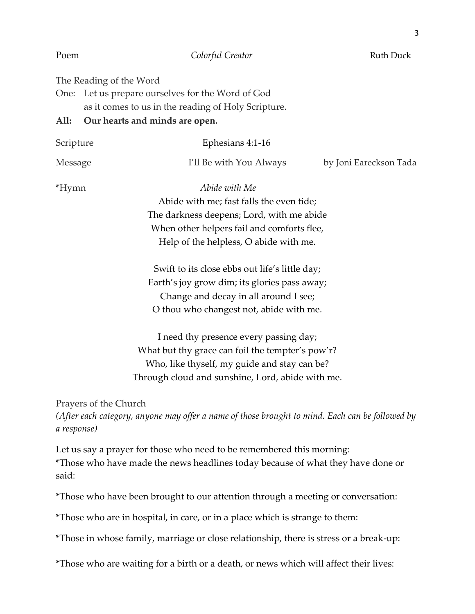| Poem        | Colorful Creator                                                                                                                                                                               | <b>Ruth Duck</b>       |
|-------------|------------------------------------------------------------------------------------------------------------------------------------------------------------------------------------------------|------------------------|
| All:        | The Reading of the Word<br>One: Let us prepare ourselves for the Word of God<br>as it comes to us in the reading of Holy Scripture.<br>Our hearts and minds are open.                          |                        |
| Scripture   | Ephesians 4:1-16                                                                                                                                                                               |                        |
| Message     | I'll Be with You Always                                                                                                                                                                        | by Joni Eareckson Tada |
| *Hymn       | Abide with Me<br>Abide with me; fast falls the even tide;<br>The darkness deepens; Lord, with me abide<br>When other helpers fail and comforts flee,<br>Help of the helpless, O abide with me. |                        |
|             | Swift to its close ebbs out life's little day;<br>Earth's joy grow dim; its glories pass away;<br>Change and decay in all around I see;<br>O thou who changest not, abide with me.             |                        |
|             | I need thy presence every passing day;<br>What but thy grace can foil the tempter's pow'r?<br>Who, like thyself, my guide and stay can be?<br>Through cloud and sunshine, Lord, abide with me. |                        |
| a response) | Prayers of the Church<br>(After each category, anyone may offer a name of those brought to mind. Each can be followed by                                                                       |                        |
| said:       | Let us say a prayer for those who need to be remembered this morning:<br>*Those who have made the news headlines today because of what they have done or                                       |                        |
|             | *Those who have been brought to our attention through a meeting or conversation:                                                                                                               |                        |
|             | *Those who are in hospital, in care, or in a place which is strange to them:                                                                                                                   |                        |

\*Those in whose family, marriage or close relationship, there is stress or a break-up:

\*Those who are waiting for a birth or a death, or news which will affect their lives: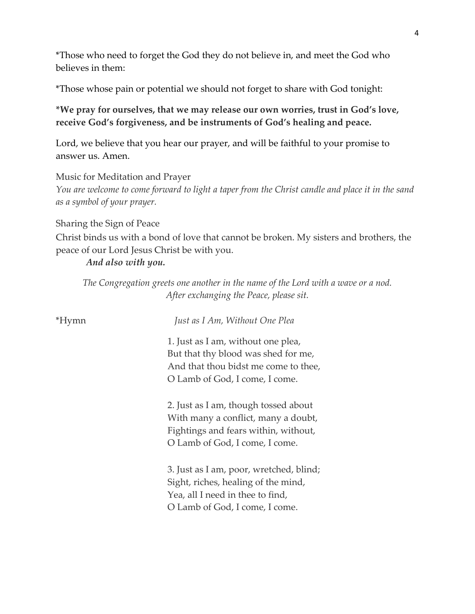\*Those who need to forget the God they do not believe in, and meet the God who believes in them:

\*Those whose pain or potential we should not forget to share with God tonight:

**\*We pray for ourselves, that we may release our own worries, trust in God's love, receive God's forgiveness, and be instruments of God's healing and peace.** 

Lord, we believe that you hear our prayer, and will be faithful to your promise to answer us. Amen.

#### Music for Meditation and Prayer

*You are welcome to come forward to light a taper from the Christ candle and place it in the sand as a symbol of your prayer.*

#### Sharing the Sign of Peace

Christ binds us with a bond of love that cannot be broken. My sisters and brothers, the peace of our Lord Jesus Christ be with you.

#### *And also with you.*

*The Congregation greets one another in the name of the Lord with a wave or a nod. After exchanging the Peace, please sit.*

| *Hymn | Just as I Am, Without One Plea                                                                                                                        |
|-------|-------------------------------------------------------------------------------------------------------------------------------------------------------|
|       | 1. Just as I am, without one plea,<br>But that thy blood was shed for me,<br>And that thou bidst me come to thee,<br>O Lamb of God, I come, I come.   |
|       | 2. Just as I am, though tossed about<br>With many a conflict, many a doubt,<br>Fightings and fears within, without,<br>O Lamb of God, I come, I come. |
|       | 3. Just as I am, poor, wretched, blind;<br>Sight, riches, healing of the mind,<br>Yea, all I need in thee to find,<br>O Lamb of God, I come, I come.  |